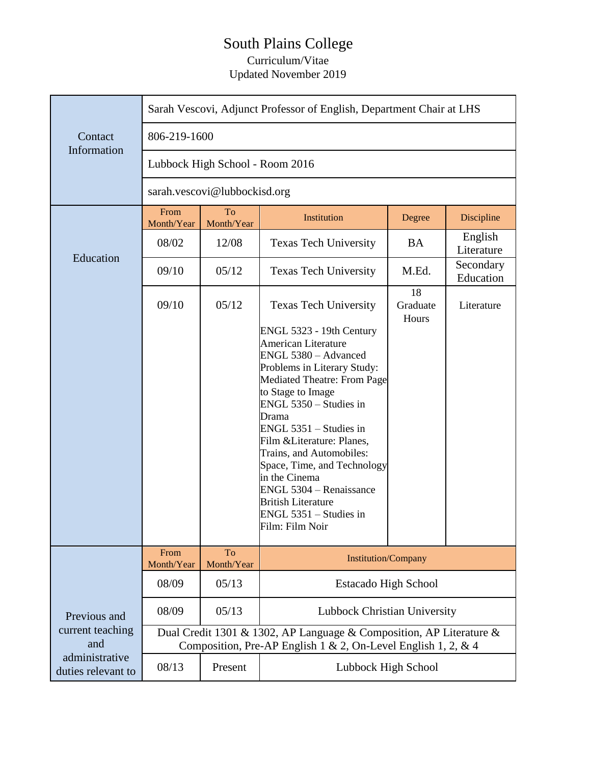## South Plains College Curriculum/Vitae Updated November 2019

|                                                                                 | Sarah Vescovi, Adjunct Professor of English, Department Chair at LHS                                                                 |                         |                                                                                                                                                                                                                                                                                                                                                                                                                                                        |                         |                        |  |
|---------------------------------------------------------------------------------|--------------------------------------------------------------------------------------------------------------------------------------|-------------------------|--------------------------------------------------------------------------------------------------------------------------------------------------------------------------------------------------------------------------------------------------------------------------------------------------------------------------------------------------------------------------------------------------------------------------------------------------------|-------------------------|------------------------|--|
| Contact<br>Information                                                          | 806-219-1600                                                                                                                         |                         |                                                                                                                                                                                                                                                                                                                                                                                                                                                        |                         |                        |  |
|                                                                                 | Lubbock High School - Room 2016                                                                                                      |                         |                                                                                                                                                                                                                                                                                                                                                                                                                                                        |                         |                        |  |
|                                                                                 | sarah.vescovi@lubbockisd.org                                                                                                         |                         |                                                                                                                                                                                                                                                                                                                                                                                                                                                        |                         |                        |  |
| Education                                                                       | From<br>Month/Year                                                                                                                   | To<br>Month/Year        | Institution                                                                                                                                                                                                                                                                                                                                                                                                                                            | Degree                  | Discipline             |  |
|                                                                                 | 08/02                                                                                                                                | 12/08                   | <b>Texas Tech University</b>                                                                                                                                                                                                                                                                                                                                                                                                                           | <b>BA</b>               | English<br>Literature  |  |
|                                                                                 | 09/10                                                                                                                                | 05/12                   | <b>Texas Tech University</b>                                                                                                                                                                                                                                                                                                                                                                                                                           | M.Ed.                   | Secondary<br>Education |  |
|                                                                                 | 09/10                                                                                                                                | 05/12                   | <b>Texas Tech University</b>                                                                                                                                                                                                                                                                                                                                                                                                                           | 18<br>Graduate<br>Hours | Literature             |  |
|                                                                                 |                                                                                                                                      |                         | ENGL 5323 - 19th Century<br><b>American Literature</b><br>ENGL 5380 - Advanced<br>Problems in Literary Study:<br><b>Mediated Theatre: From Page</b><br>to Stage to Image<br>ENGL 5350 - Studies in<br>Drama<br>$ENGL$ 5351 – Studies in<br>Film & Literature: Planes,<br>Trains, and Automobiles:<br>Space, Time, and Technology<br>in the Cinema<br>ENGL 5304 - Renaissance<br><b>British Literature</b><br>ENGL 5351 – Studies in<br>Film: Film Noir |                         |                        |  |
| Previous and<br>current teaching<br>and<br>administrative<br>duties relevant to | From<br>Month/Year                                                                                                                   | <b>To</b><br>Month/Year | <b>Institution/Company</b>                                                                                                                                                                                                                                                                                                                                                                                                                             |                         |                        |  |
|                                                                                 | 08/09                                                                                                                                | 05/13                   | <b>Estacado High School</b>                                                                                                                                                                                                                                                                                                                                                                                                                            |                         |                        |  |
|                                                                                 | 08/09                                                                                                                                | 05/13                   | Lubbock Christian University                                                                                                                                                                                                                                                                                                                                                                                                                           |                         |                        |  |
|                                                                                 | Dual Credit 1301 & 1302, AP Language & Composition, AP Literature &<br>Composition, Pre-AP English 1 & 2, On-Level English 1, 2, & 4 |                         |                                                                                                                                                                                                                                                                                                                                                                                                                                                        |                         |                        |  |
|                                                                                 | 08/13                                                                                                                                | Present                 | Lubbock High School                                                                                                                                                                                                                                                                                                                                                                                                                                    |                         |                        |  |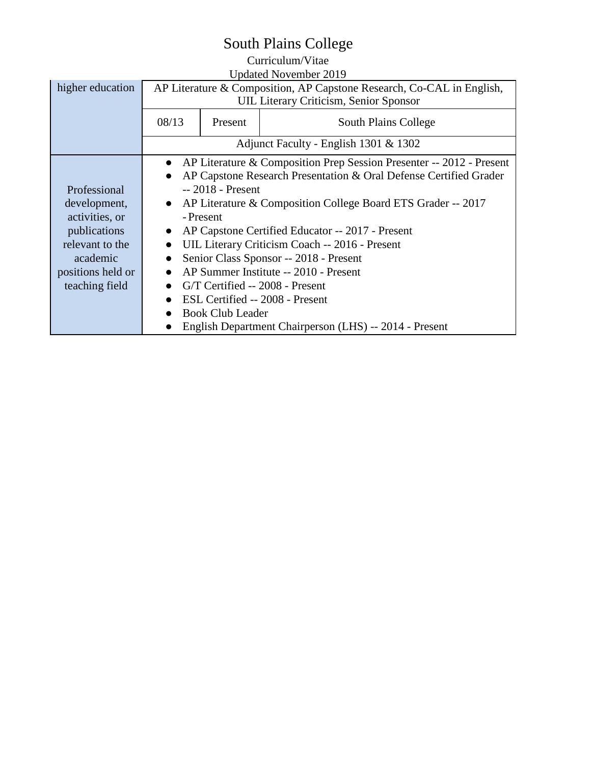## South Plains College

## Curriculum/Vitae

| <b>Updated November 2019</b> |                                                                                   |         |                      |  |  |  |
|------------------------------|-----------------------------------------------------------------------------------|---------|----------------------|--|--|--|
| higher education             | AP Literature & Composition, AP Capstone Research, Co-CAL in English,             |         |                      |  |  |  |
|                              | <b>UIL Literary Criticism, Senior Sponsor</b>                                     |         |                      |  |  |  |
|                              | 08/13                                                                             | Present | South Plains College |  |  |  |
|                              | Adjunct Faculty - English 1301 & 1302                                             |         |                      |  |  |  |
|                              | AP Literature & Composition Prep Session Presenter -- 2012 - Present<br>$\bullet$ |         |                      |  |  |  |
|                              | AP Capstone Research Presentation & Oral Defense Certified Grader<br>$\bullet$    |         |                      |  |  |  |
| Professional                 | -- 2018 - Present                                                                 |         |                      |  |  |  |
| development,                 | AP Literature & Composition College Board ETS Grader -- 2017<br>$\bullet$         |         |                      |  |  |  |
| activities, or               | - Present                                                                         |         |                      |  |  |  |
| publications                 | AP Capstone Certified Educator -- 2017 - Present                                  |         |                      |  |  |  |
| relevant to the              | UIL Literary Criticism Coach -- 2016 - Present                                    |         |                      |  |  |  |
| academic                     | Senior Class Sponsor -- 2018 - Present                                            |         |                      |  |  |  |
| positions held or            | AP Summer Institute -- 2010 - Present                                             |         |                      |  |  |  |
| teaching field               | G/T Certified -- 2008 - Present<br>$\bullet$                                      |         |                      |  |  |  |
|                              | ESL Certified -- 2008 - Present                                                   |         |                      |  |  |  |
|                              | <b>Book Club Leader</b>                                                           |         |                      |  |  |  |
|                              | English Department Chairperson (LHS) -- 2014 - Present                            |         |                      |  |  |  |